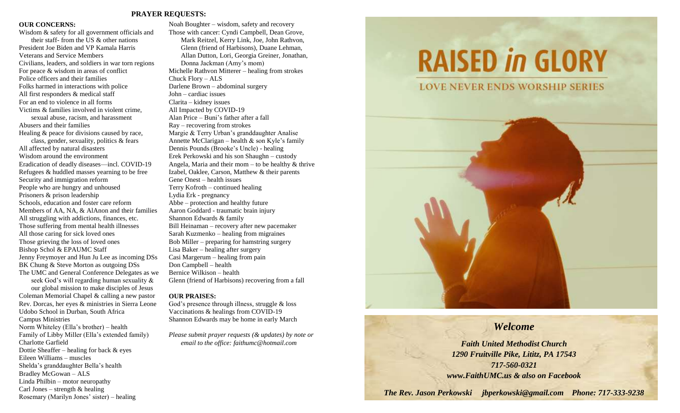#### **PRAYER REQUESTS:**

#### **OUR CONCERNS:**

Wisdom & safety for all government officials and their staff- from the US & other nations President Joe Biden and VP Kamala Harris Veterans and Service Members Civilians, leaders, and soldiers in war torn regions For peace & wisdom in areas of conflict Police officers and their families Folks harmed in interactions with police All first responders & medical staff For an end to violence in all forms Victims & families involved in violent crime, sexual abuse, racism, and harassment Abusers and their families Healing & peace for divisions caused by race, class, gender, sexuality, politics & fears All affected by natural disasters Wisdom around the environment Eradication of deadly diseases—incl. COVID-19 Refugees & huddled masses yearning to be free Security and immigration reform People who are hungry and unhoused Prisoners & prison leadership Schools, education and foster care reform Members of AA, NA, & AlAnon and their families All struggling with addictions, finances, etc. Those suffering from mental health illnesses All those caring for sick loved ones Those grieving the loss of loved ones Bishop Schol & EPAUMC Staff Jenny Freymoyer and Hun Ju Lee as incoming DSs BK Chung & Steve Morton as outgoing DSs The UMC and General Conference Delegates as we seek God's will regarding human sexuality & our global mission to make disciples of Jesus Coleman Memorial Chapel & calling a new pastor Rev. Dorcas, her eyes & ministries in Sierra Leone Udobo School in Durban, South Africa Campus Ministries Norm Whiteley (Ella's brother) – health Family of Libby Miller (Ella's extended family) Charlotte Garfield Dottie Sheaffer – healing for back & eyes Eileen Williams – muscles Shelda's granddaughter Bella's health Bradley McGowan – ALS

Linda Philbin – motor neuropathy Carl Jones – strength  $&$  healing

Rosemary (Marilyn Jones' sister) – healing

Noah Boughter – wisdom, safety and recovery Those with cancer: Cyndi Campbell, Dean Grove, Mark Reitzel, Kerry Link, Joe, John Rathvon, Glenn (friend of Harbisons), Duane Lehman, Allan Dutton, Lori, Georgia Greiner, Jonathan, Donna Jackman (Amy's mom) Michelle Rathvon Mitterer – healing from strokes Chuck Flory – ALS Darlene Brown – abdominal surgery John – cardiac issues Clarita – kidney issues All Impacted by COVID-19 Alan Price – Buni's father after a fall Ray – recovering from strokes Margie & Terry Urban's granddaughter Analise Annette McClarigan – health & son Kyle's family Dennis Pounds (Brooke's Uncle) - healing Erek Perkowski and his son Shaughn – custody Angela, Maria and their mom – to be healthy  $&$  thrive Izabel, Oaklee, Carson, Matthew & their parents Gene Onest – health issues Terry Kofroth – continued healing Lydia Erk - pregnancy Abbe – protection and healthy future Aaron Goddard - traumatic brain injury Shannon Edwards & family Bill Heinaman – recovery after new pacemaker Sarah Kuzmenko – healing from migraines Bob Miller – preparing for hamstring surgery Lisa Baker – healing after surgery Casi Margerum – healing from pain Don Campbell – health Bernice Wilkison – health Glenn (friend of Harbisons) recovering from a fall

#### **OUR PRAISES:**

God's presence through illness, struggle & loss Vaccinations & healings from COVID-19 Shannon Edwards may be home in early March

*Please submit prayer requests (& updates) by note or email to the office: faithumc@hotmail.com*

# **RAISED in GLORY**

**LOVE NEVER ENDS WORSHIP SERIES** 



# *Welcome*

*Faith United Methodist Church 1290 Fruitville Pike, Lititz, PA 17543 717-560-0321 www.FaithUMC.us & also on Facebook*

*The Rev. Jason Perkowski jbperkowski@gmail.com Phone: 717-333-9238*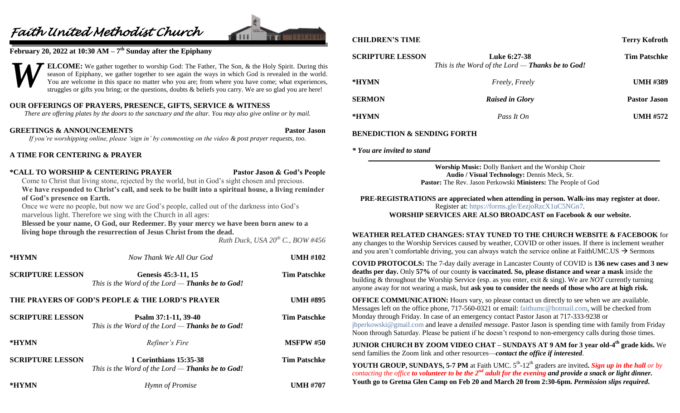# *Faith United Methodist Church*



#### **February 20, 2022 at 10:30 AM – 7 th Sunday after the Epiphany**



**ELCOME:** We gather together to worship God: The Father, The Son, & the Holy Spirit. During this season of Epiphany, we gather together to see again the ways in which God is revealed in the world. You are welcome in this space no matter who you are; from where you have come; what experiences, struggles or gifts you bring; or the questions, doubts & beliefs you carry. We are so glad you are here!

## **OUR OFFERINGS OF PRAYERS, PRESENCE, GIFTS, SERVICE & WITNESS**

*There are offering plates by the doors to the sanctuary and the altar. You may also give online or by mail.*

**GREETINGS & ANNOUNCEMENTS Pastor Jason** *If you're worshipping online, please 'sign in' by commenting on the video & post prayer requests, too.*

#### **A TIME FOR CENTERING & PRAYER**

#### **\*CALL TO WORSHIP & CENTERING PRAYER Pastor Jason & God's People**

Come to Christ that living stone, rejected by the world, but in God's sight chosen and precious. **We have responded to Christ's call, and seek to be built into a spiritual house, a living reminder of God's presence on Earth.**

Once we were no people, but now we are God's people, called out of the darkness into God's marvelous light. Therefore we sing with the Church in all ages:

**Blessed be your name, O God, our Redeemer. By your mercy we have been born anew to a living hope through the resurrection of Jesus Christ from the dead.**

*Ruth Duck, USA 20th C., BOW #456*

| *HYMN                   | Now Thank We All Our God                                                          | <b>UMH #102</b>     |
|-------------------------|-----------------------------------------------------------------------------------|---------------------|
| <b>SCRIPTURE LESSON</b> | Genesis 45:3-11, 15<br>This is the Word of the Lord - Thanks be to God!           | <b>Tim Patschke</b> |
|                         | THE PRAYERS OF GOD'S PEOPLE & THE LORD'S PRAYER                                   | <b>UMH #895</b>     |
| <b>SCRIPTURE LESSON</b> | Psalm 37:1-11, 39-40<br>This is the Word of the Lord $-$ Thanks be to God!        | <b>Tim Patschke</b> |
| *HYMN                   | Refiner's Fire                                                                    | <b>MSFPW #50</b>    |
| <b>SCRIPTURE LESSON</b> | 1 Corinthians 15:35-38<br>This is the Word of the Lord — <b>Thanks be to God!</b> | <b>Tim Patschke</b> |
| *HYMN                   | Hymn of Promise                                                                   | <b>UMH #707</b>     |

#### **CHILDREN'S TIME Terry Kofroth**

| <b>SCRIPTURE LESSON</b> | Luke 6:27-38<br>This is the Word of the Lord — <b>Thanks be to God!</b> | <b>Tim Patschke</b> |
|-------------------------|-------------------------------------------------------------------------|---------------------|
| *HYMN                   | <i>Freely, Freely</i>                                                   | <b>UMH #389</b>     |
| <b>SERMON</b>           | <b>Raised in Glory</b>                                                  | <b>Pastor Jason</b> |
| *HYMN                   | Pass It On                                                              | <b>UMH #572</b>     |
|                         |                                                                         |                     |

#### **BENEDICTION & SENDING FORTH**

*\* You are invited to stand*

**Worship Music:** Dolly Bankert and the Worship Choir **Audio / Visual Technology:** Dennis Meck, Sr. **Pastor:** The Rev. Jason Perkowski **Ministers:** The People of God

**PRE-REGISTRATIONS are appreciated when attending in person. Walk-ins may register at door.**  Register at:<https://forms.gle/EezjoRzcX1uC5NGn7>*.* **WORSHIP SERVICES ARE ALSO BROADCAST on Facebook & our website.**

**WEATHER RELATED CHANGES: STAY TUNED TO THE CHURCH WEBSITE & FACEBOOK** for any changes to the Worship Services caused by weather, COVID or other issues. If there is inclement weather and you aren't comfortable driving, you can always watch the service online at FaithUMC.US  $\rightarrow$  Sermons

**COVID PROTOCOLS:** The 7-day daily average in Lancaster County of COVID is **136 new cases and 3 new deaths per day.** Only **57%** of our county **is vaccinated. So, please distance and wear a mask** inside the building & throughout the Worship Service (esp. as you enter, exit & sing). We are *NOT* currently turning anyone away for not wearing a mask, but **ask you to consider the needs of those who are at high risk.**

**OFFICE COMMUNICATION:** Hours vary, so please contact us directly to see when we are available. Messages left on the office phone, 717-560-0321 or email: [faithumc@hotmail.com,](mailto:faithumc@hotmail.com) will be checked from Monday through Friday. In case of an emergency contact Pastor Jason at 717-333-9238 or [jbperkowski@gmail.com](mailto:jbperkowski@gmail.com) and leave a *detailed message*. Pastor Jason is spending time with family from Friday Noon through Saturday. Please be patient if he doesn't respond to non-emergency calls during those times.

**JUNIOR CHURCH BY ZOOM VIDEO CHAT – SUNDAYS AT 9 AM for 3 year old-4 th grade kids.** We send families the Zoom link and other resources—*contact the office if interested*.

**YOUTH GROUP, SUNDAYS, 5-7 PM** at Faith UMC. 5<sup>th</sup>-12<sup>th</sup> graders are invited. Sign up in the hall or by *contacting the office to volunteer to be the 2nd adult for the evening and provide a snack or light dinner.* **Youth go to Gretna Glen Camp on Feb 20 and March 20 from 2:30-6pm.** *Permission slips required***.**